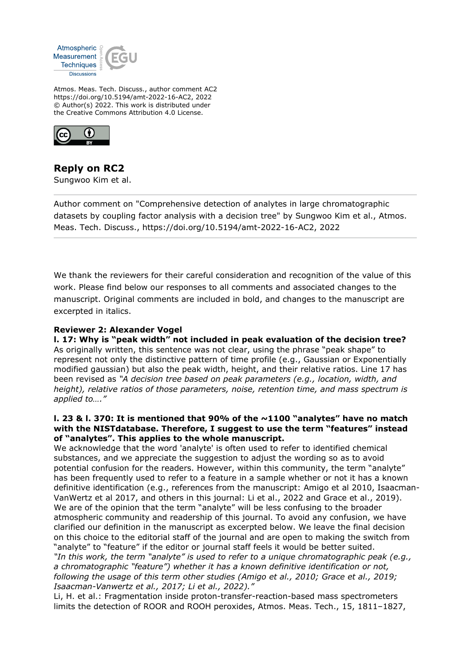

Atmos. Meas. Tech. Discuss., author comment AC2 https://doi.org/10.5194/amt-2022-16-AC2, 2022 © Author(s) 2022. This work is distributed under the Creative Commons Attribution 4.0 License.



# **Reply on RC2**

Sungwoo Kim et al.

Author comment on "Comprehensive detection of analytes in large chromatographic datasets by coupling factor analysis with a decision tree" by Sungwoo Kim et al., Atmos. Meas. Tech. Discuss., https://doi.org/10.5194/amt-2022-16-AC2, 2022

We thank the reviewers for their careful consideration and recognition of the value of this work. Please find below our responses to all comments and associated changes to the manuscript. Original comments are included in bold, and changes to the manuscript are excerpted in italics.

## **Reviewer 2: Alexander Vogel**

**l. 17: Why is "peak width" not included in peak evaluation of the decision tree?** As originally written, this sentence was not clear, using the phrase "peak shape" to represent not only the distinctive pattern of time profile (e.g., Gaussian or Exponentially modified gaussian) but also the peak width, height, and their relative ratios. Line 17 has been revised as *"A decision tree based on peak parameters (e.g., location, width, and height), relative ratios of those parameters, noise, retention time, and mass spectrum is applied to…."*

#### **l. 23 & l. 370: It is mentioned that 90% of the ~1100 "analytes" have no match with the NISTdatabase. Therefore, I suggest to use the term "features" instead of "analytes". This applies to the whole manuscript.**

We acknowledge that the word 'analyte' is often used to refer to identified chemical substances, and we appreciate the suggestion to adjust the wording so as to avoid potential confusion for the readers. However, within this community, the term "analyte" has been frequently used to refer to a feature in a sample whether or not it has a known definitive identification (e.g., references from the manuscript: Amigo et al 2010, Isaacman-VanWertz et al 2017, and others in this journal: Li et al., 2022 and Grace et al., 2019). We are of the opinion that the term "analyte" will be less confusing to the broader atmospheric community and readership of this journal. To avoid any confusion, we have clarified our definition in the manuscript as excerpted below. We leave the final decision on this choice to the editorial staff of the journal and are open to making the switch from "analyte" to "feature" if the editor or journal staff feels it would be better suited. *"In this work, the term "analyte" is used to refer to a unique chromatographic peak (e.g., a chromatographic "feature") whether it has a known definitive identification or not, following the usage of this term other studies (Amigo et al., 2010; Grace et al., 2019; Isaacman-Vanwertz et al., 2017; Li et al., 2022)."*

Li, H. et al.: Fragmentation inside proton-transfer-reaction-based mass spectrometers limits the detection of ROOR and ROOH peroxides, Atmos. Meas. Tech., 15, 1811–1827,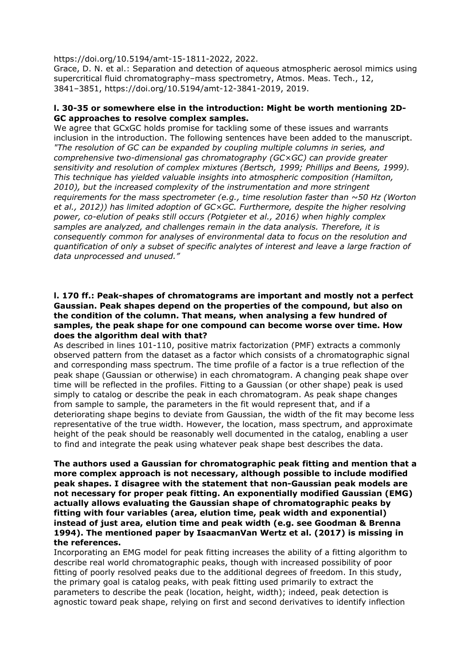https://doi.org/10.5194/amt-15-1811-2022, 2022.

Grace, D. N. et al.: Separation and detection of aqueous atmospheric aerosol mimics using supercritical fluid chromatography–mass spectrometry, Atmos. Meas. Tech., 12, 3841–3851, https://doi.org/10.5194/amt-12-3841-2019, 2019.

#### **l. 30-35 or somewhere else in the introduction: Might be worth mentioning 2D-GC approaches to resolve complex samples.**

We agree that GCxGC holds promise for tackling some of these issues and warrants inclusion in the introduction. The following sentences have been added to the manuscript. *"The resolution of GC can be expanded by coupling multiple columns in series, and comprehensive two-dimensional gas chromatography (GC×GC) can provide greater sensitivity and resolution of complex mixtures (Bertsch, 1999; Phillips and Beens, 1999). This technique has yielded valuable insights into atmospheric composition (Hamilton, 2010), but the increased complexity of the instrumentation and more stringent requirements for the mass spectrometer (e.g., time resolution faster than ~50 Hz (Worton et al., 2012)) has limited adoption of GC×GC. Furthermore, despite the higher resolving power, co-elution of peaks still occurs (Potgieter et al., 2016) when highly complex samples are analyzed, and challenges remain in the data analysis. Therefore, it is consequently common for analyses of environmental data to focus on the resolution and quantification of only a subset of specific analytes of interest and leave a large fraction of data unprocessed and unused."*

#### **l. 170 ff.: Peak-shapes of chromatograms are important and mostly not a perfect Gaussian. Peak shapes depend on the properties of the compound, but also on the condition of the column. That means, when analysing a few hundred of samples, the peak shape for one compound can become worse over time. How does the algorithm deal with that?**

As described in lines 101-110, positive matrix factorization (PMF) extracts a commonly observed pattern from the dataset as a factor which consists of a chromatographic signal and corresponding mass spectrum. The time profile of a factor is a true reflection of the peak shape (Gaussian or otherwise) in each chromatogram. A changing peak shape over time will be reflected in the profiles. Fitting to a Gaussian (or other shape) peak is used simply to catalog or describe the peak in each chromatogram. As peak shape changes from sample to sample, the parameters in the fit would represent that, and if a deteriorating shape begins to deviate from Gaussian, the width of the fit may become less representative of the true width. However, the location, mass spectrum, and approximate height of the peak should be reasonably well documented in the catalog, enabling a user to find and integrate the peak using whatever peak shape best describes the data.

**The authors used a Gaussian for chromatographic peak fitting and mention that a more complex approach is not necessary, although possible to include modified peak shapes. I disagree with the statement that non-Gaussian peak models are not necessary for proper peak fitting. An exponentially modified Gaussian (EMG) actually allows evaluating the Gaussian shape of chromatographic peaks by fitting with four variables (area, elution time, peak width and exponential) instead of just area, elution time and peak width (e.g. see Goodman & Brenna 1994). The mentioned paper by IsaacmanVan Wertz et al. (2017) is missing in the references.**

Incorporating an EMG model for peak fitting increases the ability of a fitting algorithm to describe real world chromatographic peaks, though with increased possibility of poor fitting of poorly resolved peaks due to the additional degrees of freedom. In this study, the primary goal is catalog peaks, with peak fitting used primarily to extract the parameters to describe the peak (location, height, width); indeed, peak detection is agnostic toward peak shape, relying on first and second derivatives to identify inflection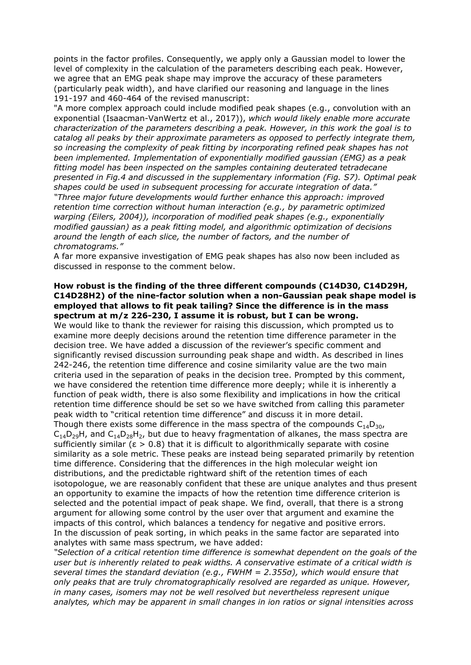points in the factor profiles. Consequently, we apply only a Gaussian model to lower the level of complexity in the calculation of the parameters describing each peak. However, we agree that an EMG peak shape may improve the accuracy of these parameters (particularly peak width), and have clarified our reasoning and language in the lines 191-197 and 460-464 of the revised manuscript:

"A more complex approach could include modified peak shapes (e.g., convolution with an exponential (Isaacman-VanWertz et al., 2017)), *which would likely enable more accurate characterization of the parameters describing a peak. However, in this work the goal is to catalog all peaks by their approximate parameters as opposed to perfectly integrate them, so increasing the complexity of peak fitting by incorporating refined peak shapes has not been implemented. Implementation of exponentially modified gaussian (EMG) as a peak fitting model has been inspected on the samples containing deuterated tetradecane presented in Fig.4 and discussed in the supplementary information (Fig. S7). Optimal peak shapes could be used in subsequent processing for accurate integration of data." "Three major future developments would further enhance this approach: improved retention time correction without human interaction (e.g., by parametric optimized warping (Eilers, 2004)), incorporation of modified peak shapes (e.g., exponentially modified gaussian) as a peak fitting model, and algorithmic optimization of decisions around the length of each slice, the number of factors, and the number of chromatograms."*

A far more expansive investigation of EMG peak shapes has also now been included as discussed in response to the comment below.

#### **How robust is the finding of the three different compounds (C14D30, C14D29H, C14D28H2) of the nine-factor solution when a non-Gaussian peak shape model is employed that allows to fit peak tailing? Since the difference is in the mass spectrum at m/z 226-230, I assume it is robust, but I can be wrong.**

We would like to thank the reviewer for raising this discussion, which prompted us to examine more deeply decisions around the retention time difference parameter in the decision tree. We have added a discussion of the reviewer's specific comment and significantly revised discussion surrounding peak shape and width. As described in lines 242-246, the retention time difference and cosine similarity value are the two main criteria used in the separation of peaks in the decision tree. Prompted by this comment, we have considered the retention time difference more deeply; while it is inherently a function of peak width, there is also some flexibility and implications in how the critical retention time difference should be set so we have switched from calling this parameter peak width to "critical retention time difference" and discuss it in more detail. Though there exists some difference in the mass spectra of the compounds  $C_{14}D_{30}$ ,  $C_{14}D_{29}H$ , and  $C_{14}D_{28}H_2$ , but due to heavy fragmentation of alkanes, the mass spectra are sufficiently similar ( $\epsilon > 0.8$ ) that it is difficult to algorithmically separate with cosine similarity as a sole metric. These peaks are instead being separated primarily by retention time difference. Considering that the differences in the high molecular weight ion distributions, and the predictable rightward shift of the retention times of each isotopologue, we are reasonably confident that these are unique analytes and thus present an opportunity to examine the impacts of how the retention time difference criterion is selected and the potential impact of peak shape. We find, overall, that there is a strong argument for allowing some control by the user over that argument and examine the impacts of this control, which balances a tendency for negative and positive errors. In the discussion of peak sorting, in which peaks in the same factor are separated into analytes with same mass spectrum, we have added:

*"Selection of a critical retention time difference is somewhat dependent on the goals of the user but is inherently related to peak widths. A conservative estimate of a critical width is several times the standard deviation (e.g., FWHM = 2.355σ), which would ensure that only peaks that are truly chromatographically resolved are regarded as unique. However, in many cases, isomers may not be well resolved but nevertheless represent unique analytes, which may be apparent in small changes in ion ratios or signal intensities across*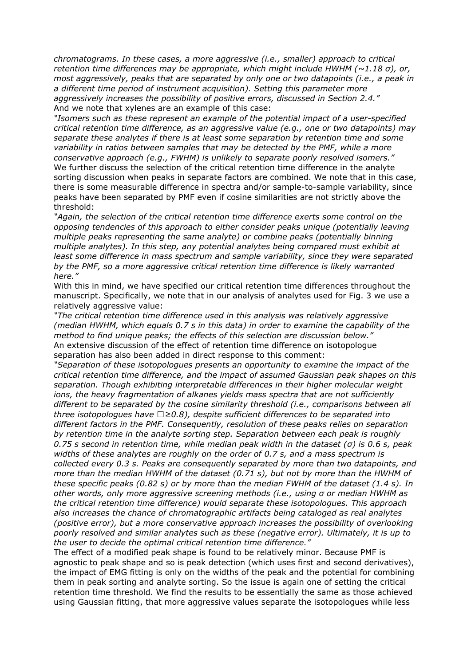*chromatograms. In these cases, a more aggressive (i.e., smaller) approach to critical retention time differences may be appropriate, which might include HWHM (~1.18 σ), or, most aggressively, peaks that are separated by only one or two datapoints (i.e., a peak in a different time period of instrument acquisition). Setting this parameter more aggressively increases the possibility of positive errors, discussed in Section 2.4."* And we note that xylenes are an example of this case:

*"Isomers such as these represent an example of the potential impact of a user-specified critical retention time difference, as an aggressive value (e.g., one or two datapoints) may separate these analytes if there is at least some separation by retention time and some variability in ratios between samples that may be detected by the PMF, while a more conservative approach (e.g., FWHM) is unlikely to separate poorly resolved isomers."* We further discuss the selection of the critical retention time difference in the analyte sorting discussion when peaks in separate factors are combined. We note that in this case, there is some measurable difference in spectra and/or sample-to-sample variability, since peaks have been separated by PMF even if cosine similarities are not strictly above the threshold:

*"Again, the selection of the critical retention time difference exerts some control on the opposing tendencies of this approach to either consider peaks unique (potentially leaving multiple peaks representing the same analyte) or combine peaks (potentially binning multiple analytes). In this step, any potential analytes being compared must exhibit at least some difference in mass spectrum and sample variability, since they were separated by the PMF, so a more aggressive critical retention time difference is likely warranted here."*

With this in mind, we have specified our critical retention time differences throughout the manuscript. Specifically, we note that in our analysis of analytes used for Fig. 3 we use a relatively aggressive value:

*"The critical retention time difference used in this analysis was relatively aggressive (median HWHM, which equals 0.7 s in this data) in order to examine the capability of the method to find unique peaks; the effects of this selection are discussion below."* An extensive discussion of the effect of retention time difference on isotopologue separation has also been added in direct response to this comment:

*"Separation of these isotopologues presents an opportunity to examine the impact of the critical retention time difference, and the impact of assumed Gaussian peak shapes on this separation. Though exhibiting interpretable differences in their higher molecular weight ions, the heavy fragmentation of alkanes yields mass spectra that are not sufficiently different to be separated by the cosine similarity threshold (i.e., comparisons between all three isotopologues have ϵ≥0.8), despite sufficient differences to be separated into different factors in the PMF. Consequently, resolution of these peaks relies on separation by retention time in the analyte sorting step. Separation between each peak is roughly 0.75 s second in retention time, while median peak width in the dataset (σ) is 0.6 s, peak widths of these analytes are roughly on the order of 0.7 s, and a mass spectrum is collected every 0.3 s. Peaks are consequently separated by more than two datapoints, and more than the median HWHM of the dataset (0.71 s), but not by more than the HWHM of these specific peaks (0.82 s) or by more than the median FWHM of the dataset (1.4 s). In other words, only more aggressive screening methods (i.e., using σ or median HWHM as the critical retention time difference) would separate these isotopologues. This approach also increases the chance of chromatographic artifacts being cataloged as real analytes (positive error), but a more conservative approach increases the possibility of overlooking poorly resolved and similar analytes such as these (negative error). Ultimately, it is up to the user to decide the optimal critical retention time difference."*

The effect of a modified peak shape is found to be relatively minor. Because PMF is agnostic to peak shape and so is peak detection (which uses first and second derivatives), the impact of EMG fitting is only on the widths of the peak and the potential for combining them in peak sorting and analyte sorting. So the issue is again one of setting the critical retention time threshold. We find the results to be essentially the same as those achieved using Gaussian fitting, that more aggressive values separate the isotopologues while less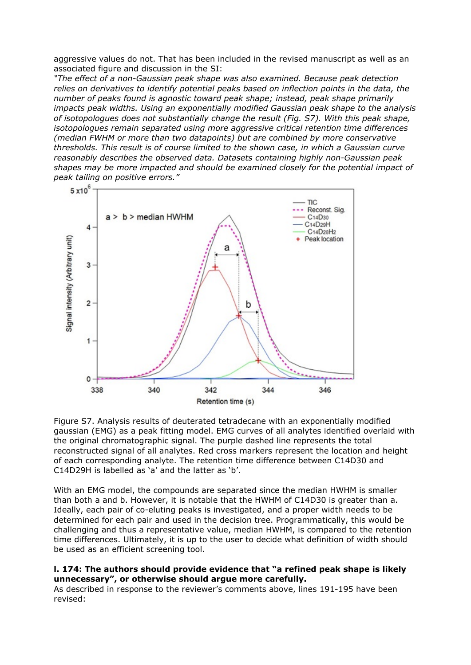aggressive values do not. That has been included in the revised manuscript as well as an associated figure and discussion in the SI:

*"The effect of a non-Gaussian peak shape was also examined. Because peak detection relies on derivatives to identify potential peaks based on inflection points in the data, the number of peaks found is agnostic toward peak shape; instead, peak shape primarily impacts peak widths. Using an exponentially modified Gaussian peak shape to the analysis of isotopologues does not substantially change the result (Fig. S7). With this peak shape, isotopologues remain separated using more aggressive critical retention time differences (median FWHM or more than two datapoints) but are combined by more conservative thresholds. This result is of course limited to the shown case, in which a Gaussian curve reasonably describes the observed data. Datasets containing highly non-Gaussian peak shapes may be more impacted and should be examined closely for the potential impact of peak tailing on positive errors."*



Figure S7. Analysis results of deuterated tetradecane with an exponentially modified gaussian (EMG) as a peak fitting model. EMG curves of all analytes identified overlaid with the original chromatographic signal. The purple dashed line represents the total reconstructed signal of all analytes. Red cross markers represent the location and height of each corresponding analyte. The retention time difference between C14D30 and C14D29H is labelled as 'a' and the latter as 'b'.

With an EMG model, the compounds are separated since the median HWHM is smaller than both a and b. However, it is notable that the HWHM of C14D30 is greater than a. Ideally, each pair of co-eluting peaks is investigated, and a proper width needs to be determined for each pair and used in the decision tree. Programmatically, this would be challenging and thus a representative value, median HWHM, is compared to the retention time differences. Ultimately, it is up to the user to decide what definition of width should be used as an efficient screening tool.

### **l. 174: The authors should provide evidence that "a refined peak shape is likely unnecessary", or otherwise should argue more carefully.**

As described in response to the reviewer's comments above, lines 191-195 have been revised: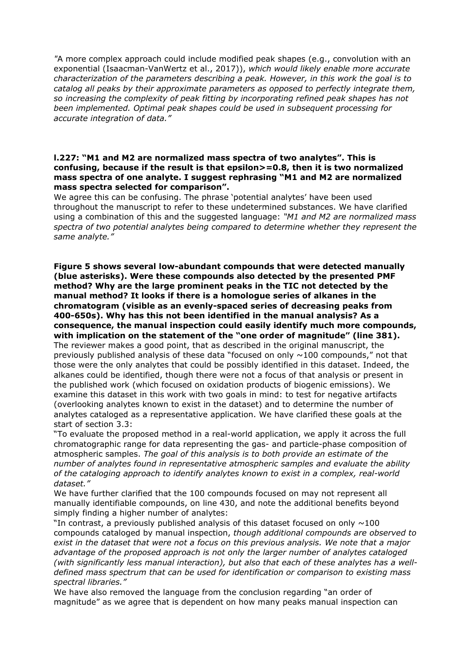*"*A more complex approach could include modified peak shapes (e.g., convolution with an exponential (Isaacman-VanWertz et al., 2017)), *which would likely enable more accurate characterization of the parameters describing a peak. However, in this work the goal is to catalog all peaks by their approximate parameters as opposed to perfectly integrate them, so increasing the complexity of peak fitting by incorporating refined peak shapes has not been implemented. Optimal peak shapes could be used in subsequent processing for accurate integration of data."*

#### **l.227: "M1 and M2 are normalized mass spectra of two analytes". This is confusing, because if the result is that epsilon>=0.8, then it is two normalized mass spectra of one analyte. I suggest rephrasing "M1 and M2 are normalized mass spectra selected for comparison".**

We agree this can be confusing. The phrase 'potential analytes' have been used throughout the manuscript to refer to these undetermined substances. We have clarified using a combination of this and the suggested language: *"M1 and M2 are normalized mass spectra of two potential analytes being compared to determine whether they represent the same analyte."*

**Figure 5 shows several low-abundant compounds that were detected manually (blue asterisks). Were these compounds also detected by the presented PMF method? Why are the large prominent peaks in the TIC not detected by the manual method? It looks if there is a homologue series of alkanes in the chromatogram (visible as an evenly-spaced series of decreasing peaks from 400-650s). Why has this not been identified in the manual analysis? As a consequence, the manual inspection could easily identify much more compounds, with implication on the statement of the "one order of magnitude" (line 381).** The reviewer makes a good point, that as described in the original manuscript, the previously published analysis of these data "focused on only  $\sim$ 100 compounds," not that those were the only analytes that could be possibly identified in this dataset. Indeed, the alkanes could be identified, though there were not a focus of that analysis or present in the published work (which focused on oxidation products of biogenic emissions). We examine this dataset in this work with two goals in mind: to test for negative artifacts (overlooking analytes known to exist in the dataset) and to determine the number of analytes cataloged as a representative application. We have clarified these goals at the start of section 3.3:

"To evaluate the proposed method in a real-world application, we apply it across the full chromatographic range for data representing the gas- and particle-phase composition of atmospheric samples. *The goal of this analysis is to both provide an estimate of the number of analytes found in representative atmospheric samples and evaluate the ability of the cataloging approach to identify analytes known to exist in a complex, real-world dataset."*

We have further clarified that the 100 compounds focused on may not represent all manually identifiable compounds, on line 430, and note the additional benefits beyond simply finding a higher number of analytes:

"In contrast, a previously published analysis of this dataset focused on only  $\sim$ 100 compounds cataloged by manual inspection, *though additional compounds are observed to exist in the dataset that were not a focus on this previous analysis. We note that a major advantage of the proposed approach is not only the larger number of analytes cataloged (with significantly less manual interaction), but also that each of these analytes has a welldefined mass spectrum that can be used for identification or comparison to existing mass spectral libraries."*

We have also removed the language from the conclusion regarding "an order of magnitude" as we agree that is dependent on how many peaks manual inspection can